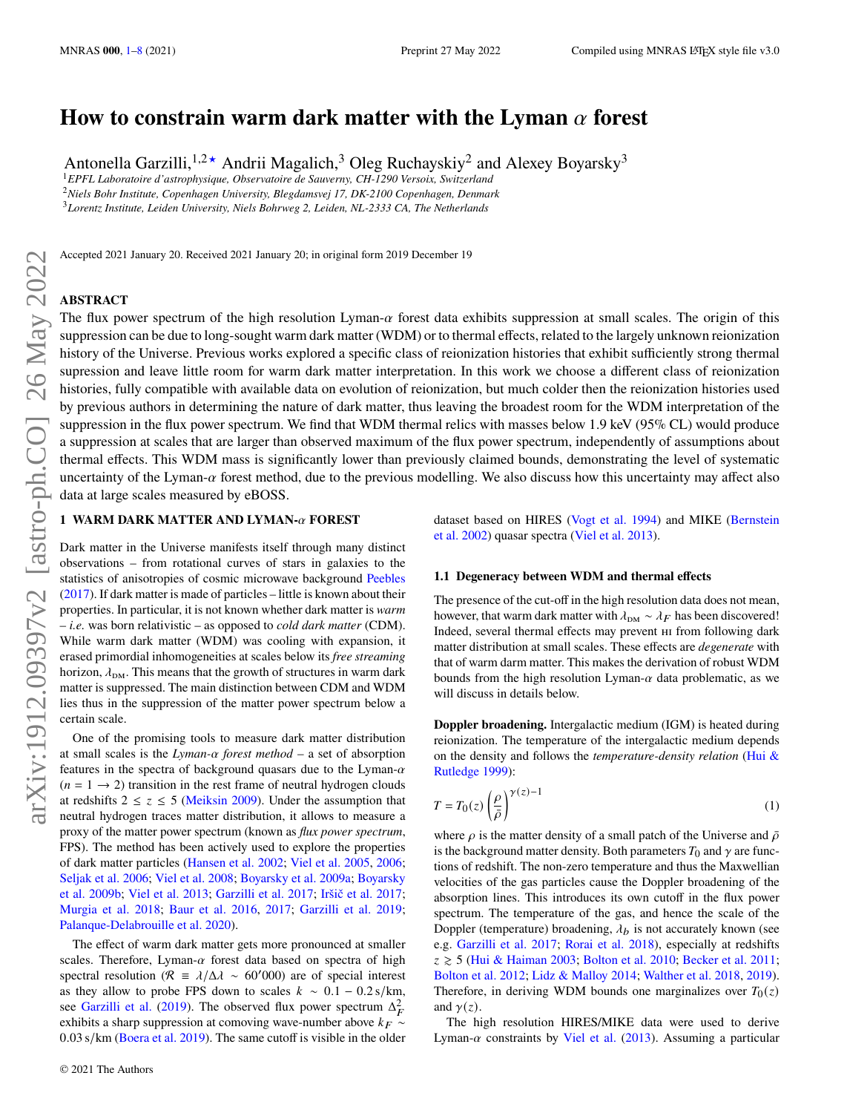# How to constrain warm dark matter with the Lyman  $\alpha$  forest

Antonella Garzilli,  $1.2 \star$  Andrii Magalich,  $3$  Oleg Ruchayskiy<sup>2</sup> and Alexey Boyarsky<sup>3</sup>

<sup>1</sup>*EPFL Laboratoire d'astrophysique, Observatoire de Sauverny, CH-1290 Versoix, Switzerland*

<sup>2</sup>*Niels Bohr Institute, Copenhagen University, Blegdamsvej 17, DK-2100 Copenhagen, Denmark*

<sup>3</sup>*Lorentz Institute, Leiden University, Niels Bohrweg 2, Leiden, NL-2333 CA, The Netherlands*

Accepted 2021 January 20. Received 2021 January 20; in original form 2019 December 19

## **ABSTRACT**

The flux power spectrum of the high resolution Lyman- $\alpha$  forest data exhibits suppression at small scales. The origin of this suppression can be due to long-sought warm dark matter (WDM) or to thermal effects, related to the largely unknown reionization history of the Universe. Previous works explored a specific class of reionization histories that exhibit sufficiently strong thermal supression and leave little room for warm dark matter interpretation. In this work we choose a different class of reionization histories, fully compatible with available data on evolution of reionization, but much colder then the reionization histories used by previous authors in determining the nature of dark matter, thus leaving the broadest room for the WDM interpretation of the suppression in the flux power spectrum. We find that WDM thermal relics with masses below 1.9 keV (95% CL) would produce a suppression at scales that are larger than observed maximum of the flux power spectrum, independently of assumptions about thermal effects. This WDM mass is significantly lower than previously claimed bounds, demonstrating the level of systematic uncertainty of the Lyman- $\alpha$  forest method, due to the previous modelling. We also discuss how this uncertainty may affect also data at large scales measured by eBOSS.

# <span id="page-0-0"></span>**1 WARM DARK MATTER AND LYMAN-** $\alpha$  **FOREST**

Dark matter in the Universe manifests itself through many distinct observations – from rotational curves of stars in galaxies to the statistics of anisotropies of cosmic microwave background [Peebles](#page-7-0) [\(2017\)](#page-7-0). If dark matter is made of particles – little is known about their properties. In particular, it is not known whether dark matter is *warm* – *i.e.* was born relativistic – as opposed to *cold dark matter* (CDM). While warm dark matter (WDM) was cooling with expansion, it erased primordial inhomogeneities at scales below its *free streaming* horizon,  $\lambda_{\text{DM}}$ . This means that the growth of structures in warm dark matter is suppressed. The main distinction between CDM and WDM lies thus in the suppression of the matter power spectrum below a certain scale.

One of the promising tools to measure dark matter distribution at small scales is the  $Lyman-\alpha$  forest method – a set of absorption features in the spectra of background quasars due to the Lyman- $\alpha$  $(n = 1 \rightarrow 2)$  transition in the rest frame of neutral hydrogen clouds at redshifts  $2 \le z \le 5$  [\(Meiksin](#page-7-1) [2009\)](#page-7-1). Under the assumption that neutral hydrogen traces matter distribution, it allows to measure a proxy of the matter power spectrum (known as *flux power spectrum*, FPS). The method has been actively used to explore the properties of dark matter particles [\(Hansen et al.](#page-7-2) [2002;](#page-7-2) [Viel et al.](#page-7-3) [2005,](#page-7-3) [2006;](#page-7-4) [Seljak et al.](#page-7-5) [2006;](#page-7-5) [Viel et al.](#page-7-6) [2008;](#page-7-6) [Boyarsky et al.](#page-7-7) [2009a;](#page-7-7) [Boyarsky](#page-7-8) [et al.](#page-7-8) [2009b;](#page-7-8) [Viel et al.](#page-7-9) [2013;](#page-7-9) [Garzilli et al.](#page-7-10) [2017;](#page-7-10) [Iršič et al.](#page-7-11) [2017;](#page-7-11) [Murgia et al.](#page-7-12) [2018;](#page-7-12) [Baur et al.](#page-7-13) [2016,](#page-7-13) [2017;](#page-7-14) [Garzilli et al.](#page-7-15) [2019;](#page-7-15) [Palanque-Delabrouille et al.](#page-7-16) [2020\)](#page-7-16).

The effect of warm dark matter gets more pronounced at smaller scales. Therefore, Lyman- $\alpha$  forest data based on spectra of high spectral resolution ( $\mathcal{R} = \lambda/\Delta\lambda \sim 60'000$ ) are of special interest as they allow to probe FPS down to scales  $k \sim 0.1 - 0.2$  s/km, see [Garzilli et al.](#page-7-15) [\(2019\)](#page-7-15). The observed flux power spectrum  $\Delta_F^2$ exhibits a sharp suppression at comoving wave-number above  $k_F \sim$ 0.03 s/km [\(Boera et al.](#page-7-17) [2019\)](#page-7-17). The same cutoff is visible in the older dataset based on HIRES [\(Vogt et al.](#page-7-18) [1994\)](#page-7-18) and MIKE [\(Bernstein](#page-7-19) [et al.](#page-7-19) [2002\)](#page-7-19) quasar spectra [\(Viel et al.](#page-7-9) [2013\)](#page-7-9).

## **1.1 Degeneracy between WDM and thermal effects**

The presence of the cut-off in the high resolution data does not mean, however, that warm dark matter with  $\lambda_{DM} \sim \lambda_F$  has been discovered! Indeed, several thermal effects may prevent hi from following dark matter distribution at small scales. These effects are *degenerate* with that of warm darm matter. This makes the derivation of robust WDM bounds from the high resolution Lyman- $\alpha$  data problematic, as we will discuss in details below.

**Doppler broadening.** Intergalactic medium (IGM) is heated during reionization. The temperature of the intergalactic medium depends on the density and follows the *temperature-density relation* [\(Hui &](#page-7-20) [Rutledge](#page-7-20) [1999\)](#page-7-20):

<span id="page-0-1"></span>
$$
T = T_0(z) \left(\frac{\rho}{\bar{\rho}}\right)^{\gamma(z)-1} \tag{1}
$$

where  $\rho$  is the matter density of a small patch of the Universe and  $\bar{\rho}$ is the background matter density. Both parameters  $T_0$  and  $\gamma$  are functions of redshift. The non-zero temperature and thus the Maxwellian velocities of the gas particles cause the Doppler broadening of the absorption lines. This introduces its own cutoff in the flux power spectrum. The temperature of the gas, and hence the scale of the Doppler (temperature) broadening,  $\lambda_b$  is not accurately known (see e.g. [Garzilli et al.](#page-7-10) [2017;](#page-7-10) [Rorai et al.](#page-7-21) [2018\)](#page-7-21), especially at redshifts  $z \ge 5$  [\(Hui & Haiman](#page-7-22) [2003;](#page-7-22) [Bolton et al.](#page-7-23) [2010;](#page-7-23) [Becker et al.](#page-7-24) [2011;](#page-7-24) [Bolton et al.](#page-7-25) [2012;](#page-7-25) [Lidz & Malloy](#page-7-26) [2014;](#page-7-26) [Walther et al.](#page-7-27) [2018,](#page-7-27) [2019\)](#page-7-28). Therefore, in deriving WDM bounds one marginalizes over  $T_0(z)$ and  $\gamma(z)$ .

The high resolution HIRES/MIKE data were used to derive Lyman- $\alpha$  constraints by [Viel et al.](#page-7-9) [\(2013\)](#page-7-9). Assuming a particular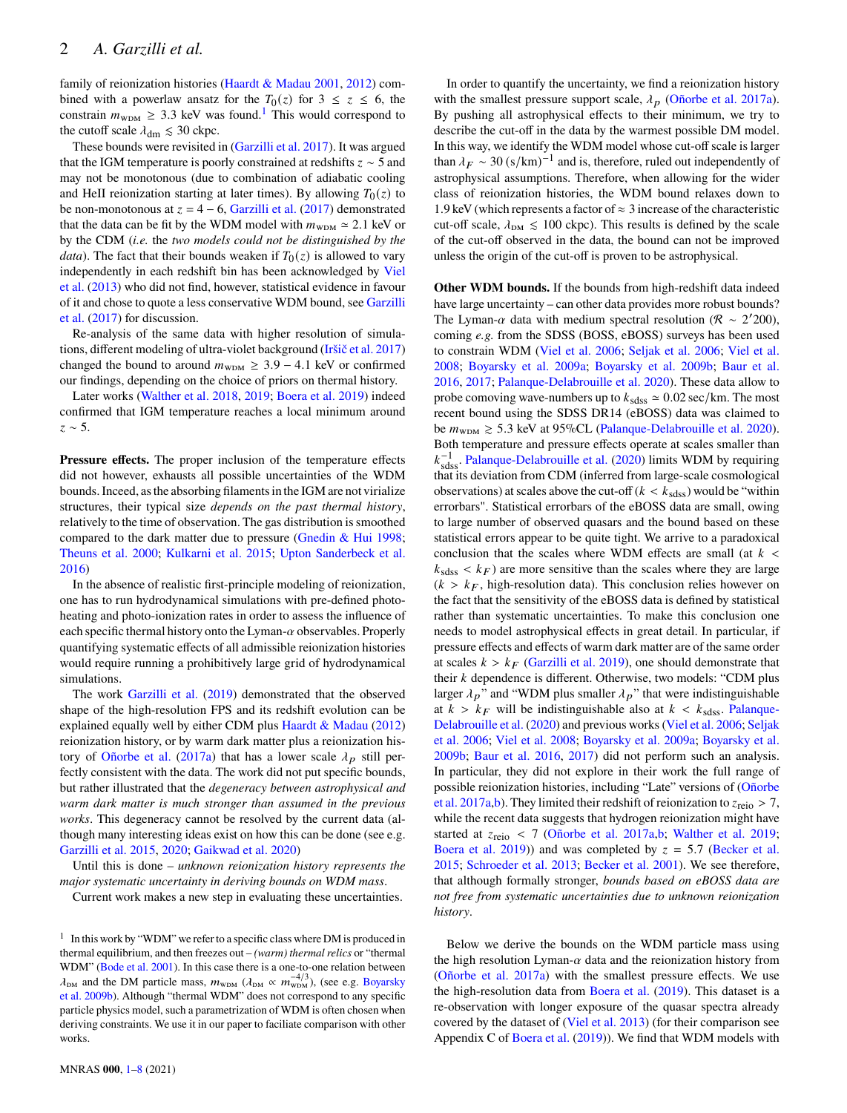family of reionization histories [\(Haardt & Madau](#page-7-29) [2001,](#page-7-29) [2012\)](#page-7-30) combined with a powerlaw ansatz for the  $T_0(z)$  for  $3 \le z \le 6$ , the constrain  $m_{\text{WDM}} \geq 3.3$  keV was found.<sup>[1](#page-1-0)</sup> This would correspond to the cutoff scale  $\lambda_{\rm dm} \leq 30$  ckpc.

These bounds were revisited in [\(Garzilli et al.](#page-7-10) [2017\)](#page-7-10). It was argued that the IGM temperature is poorly constrained at redshifts  $z \sim 5$  and may not be monotonous (due to combination of adiabatic cooling and HeII reionization starting at later times). By allowing  $T_0(z)$  to be non-monotonous at  $z = 4 - 6$ , [Garzilli et al.](#page-7-10) [\(2017\)](#page-7-10) demonstrated that the data can be fit by the WDM model with  $m_{\text{WDM}} \approx 2.1$  keV or by the CDM (*i.e.* the *two models could not be distinguished by the data*). The fact that their bounds weaken if  $T_0(z)$  is allowed to vary independently in each redshift bin has been acknowledged by [Viel](#page-7-9) [et al.](#page-7-9) [\(2013\)](#page-7-9) who did not find, however, statistical evidence in favour of it and chose to quote a less conservative WDM bound, see [Garzilli](#page-7-10) [et al.](#page-7-10) [\(2017\)](#page-7-10) for discussion.

Re-analysis of the same data with higher resolution of simulations, different modeling of ultra-violet background [\(Iršič et al.](#page-7-11) [2017\)](#page-7-11) changed the bound to around  $m_{\text{WDM}} \geq 3.9 - 4.1$  keV or confirmed our findings, depending on the choice of priors on thermal history.

Later works [\(Walther et al.](#page-7-27) [2018,](#page-7-27) [2019;](#page-7-28) [Boera et al.](#page-7-17) [2019\)](#page-7-17) indeed confirmed that IGM temperature reaches a local minimum around  $z \sim 5$ .

**Pressure effects.** The proper inclusion of the temperature effects did not however, exhausts all possible uncertainties of the WDM bounds. Inceed, as the absorbing filaments in the IGM are not virialize structures, their typical size *depends on the past thermal history*, relatively to the time of observation. The gas distribution is smoothed compared to the dark matter due to pressure [\(Gnedin & Hui](#page-7-31) [1998;](#page-7-31) [Theuns et al.](#page-7-32) [2000;](#page-7-32) [Kulkarni et al.](#page-7-33) [2015;](#page-7-33) [Upton Sanderbeck et al.](#page-7-34) [2016\)](#page-7-34)

In the absence of realistic first-principle modeling of reionization, one has to run hydrodynamical simulations with pre-defined photoheating and photo-ionization rates in order to assess the influence of each specific thermal history onto the Lyman- $\alpha$  observables. Properly quantifying systematic effects of all admissible reionization histories would require running a prohibitively large grid of hydrodynamical simulations.

The work [Garzilli et al.](#page-7-15) [\(2019\)](#page-7-15) demonstrated that the observed shape of the high-resolution FPS and its redshift evolution can be explained equally well by either CDM plus [Haardt & Madau](#page-7-30) [\(2012\)](#page-7-30) reionization history, or by warm dark matter plus a reionization his-tory of [Oñorbe et al.](#page-7-35) [\(2017a\)](#page-7-35) that has a lower scale  $\lambda_p$  still perfectly consistent with the data. The work did not put specific bounds, but rather illustrated that the *degeneracy between astrophysical and warm dark matter is much stronger than assumed in the previous works*. This degeneracy cannot be resolved by the current data (although many interesting ideas exist on how this can be done (see e.g. [Garzilli et al.](#page-7-36) [2015,](#page-7-36) [2020;](#page-7-37) [Gaikwad et al.](#page-7-38) [2020\)](#page-7-38)

Until this is done – *unknown reionization history represents the major systematic uncertainty in deriving bounds on WDM mass*.

Current work makes a new step in evaluating these uncertainties.

In order to quantify the uncertainty, we find a reionization history with the smallest pressure support scale,  $\lambda_p$  [\(Oñorbe et al.](#page-7-35) [2017a\)](#page-7-35). By pushing all astrophysical effects to their minimum, we try to describe the cut-off in the data by the warmest possible DM model. In this way, we identify the WDM model whose cut-off scale is larger than  $\lambda_F \sim 30 \, (\text{s/km})^{-1}$  and is, therefore, ruled out independently of astrophysical assumptions. Therefore, when allowing for the wider class of reionization histories, the WDM bound relaxes down to 1.9 keV (which represents a factor of  $\approx$  3 increase of the characteristic cut-off scale,  $\lambda_{DM} \leq 100$  ckpc). This results is defined by the scale of the cut-off observed in the data, the bound can not be improved unless the origin of the cut-off is proven to be astrophysical.

**Other WDM bounds.** If the bounds from high-redshift data indeed have large uncertainty – can other data provides more robust bounds? The Lyman- $\alpha$  data with medium spectral resolution ( $\mathcal{R} \sim 2'200$ ), coming *e.g.* from the SDSS (BOSS, eBOSS) surveys has been used to constrain WDM [\(Viel et al.](#page-7-4) [2006;](#page-7-4) [Seljak et al.](#page-7-5) [2006;](#page-7-5) [Viel et al.](#page-7-6) [2008;](#page-7-6) [Boyarsky et al.](#page-7-7) [2009a;](#page-7-7) [Boyarsky et al.](#page-7-8) [2009b;](#page-7-8) [Baur et al.](#page-7-13) [2016,](#page-7-13) [2017;](#page-7-14) [Palanque-Delabrouille et al.](#page-7-16) [2020\)](#page-7-16). These data allow to probe comoving wave-numbers up to  $k_{\text{sdss}} \approx 0.02 \text{ sec/km}$ . The most recent bound using the SDSS DR14 (eBOSS) data was claimed to be  $m_{\text{WDM}} \geq 5.3$  keV at 95%CL [\(Palanque-Delabrouille et al.](#page-7-16) [2020\)](#page-7-16). Both temperature and pressure effects operate at scales smaller than  $k_{\text{sds}}^{-1}$ . [Palanque-Delabrouille et al.](#page-7-16) [\(2020\)](#page-7-16) limits WDM by requiring that its deviation from CDM (inferred from large-scale cosmological observations) at scales above the cut-off ( $k < k_{\text{sdss}}$ ) would be "within errorbars". Statistical errorbars of the eBOSS data are small, owing to large number of observed quasars and the bound based on these statistical errors appear to be quite tight. We arrive to a paradoxical conclusion that the scales where WDM effects are small (at  $k <$  $k_{\text{sdss}} < k_F$ ) are more sensitive than the scales where they are large  $(k > k<sub>F</sub>, high-resolution data)$ . This conclusion relies however on the fact that the sensitivity of the eBOSS data is defined by statistical rather than systematic uncertainties. To make this conclusion one needs to model astrophysical effects in great detail. In particular, if pressure effects and effects of warm dark matter are of the same order at scales  $k > k_F$  [\(Garzilli et al.](#page-7-15) [2019\)](#page-7-15), one should demonstrate that their  $k$  dependence is different. Otherwise, two models: "CDM plus larger  $\lambda_p$ " and "WDM plus smaller  $\lambda_p$ " that were indistinguishable at  $k > k_F$  will be indistinguishable also at  $k < k_{sdss}$ . [Palanque-](#page-7-16)[Delabrouille et al.](#page-7-16) [\(2020\)](#page-7-16) and previous works [\(Viel et al.](#page-7-4) [2006;](#page-7-4) [Seljak](#page-7-5) [et al.](#page-7-5) [2006;](#page-7-5) [Viel et al.](#page-7-6) [2008;](#page-7-6) [Boyarsky et al.](#page-7-7) [2009a;](#page-7-7) [Boyarsky et al.](#page-7-8) [2009b;](#page-7-8) [Baur et al.](#page-7-13) [2016,](#page-7-13) [2017\)](#page-7-14) did not perform such an analysis. In particular, they did not explore in their work the full range of possible reionization histories, including "Late" versions of [\(Oñorbe](#page-7-35) [et al.](#page-7-35) [2017a](#page-7-35)[,b\)](#page-7-40). They limited their redshift of reionization to  $z_{\text{reio}} > 7$ , while the recent data suggests that hydrogen reionization might have started at  $z_{\text{reio}}$  < 7 [\(Oñorbe et al.](#page-7-35) [2017a,](#page-7-35)[b;](#page-7-40) [Walther et al.](#page-7-28) [2019;](#page-7-28) [Boera et al.](#page-7-17) [2019\)](#page-7-17)) and was completed by  $z = 5.7$  [\(Becker et al.](#page-7-41) [2015;](#page-7-41) [Schroeder et al.](#page-7-42) [2013;](#page-7-42) [Becker et al.](#page-7-43) [2001\)](#page-7-43). We see therefore, that although formally stronger, *bounds based on eBOSS data are not free from systematic uncertainties due to unknown reionization history*.

Below we derive the bounds on the WDM particle mass using the high resolution Lyman- $\alpha$  data and the reionization history from [\(Oñorbe et al.](#page-7-35) [2017a\)](#page-7-35) with the smallest pressure effects. We use the high-resolution data from [Boera et al.](#page-7-17) [\(2019\)](#page-7-17). This dataset is a re-observation with longer exposure of the quasar spectra already covered by the dataset of [\(Viel et al.](#page-7-9) [2013\)](#page-7-9) (for their comparison see Appendix C of [Boera et al.](#page-7-17) [\(2019\)](#page-7-17)). We find that WDM models with

<span id="page-1-0"></span> $1$  In this work by "WDM" we refer to a specific class where DM is produced in thermal equilibrium, and then freezes out – *(warm) thermal relics* or "thermal WDM" [\(Bode et al.](#page-7-39) [2001\)](#page-7-39). In this case there is a one-to-one relation between  $d_{\text{DM}}$  and the DM particle mass,  $m_{\text{WDM}}$  ( $d_{\text{DM}} \propto m_{\text{WDM}}^{-4/3}$ ), (see e.g. [Boyarsky](#page-7-8) [et al.](#page-7-8) [2009b\)](#page-7-8). Although "thermal WDM" does not correspond to any specific particle physics model, such a parametrization of WDM is often chosen when deriving constraints. We use it in our paper to faciliate comparison with other works.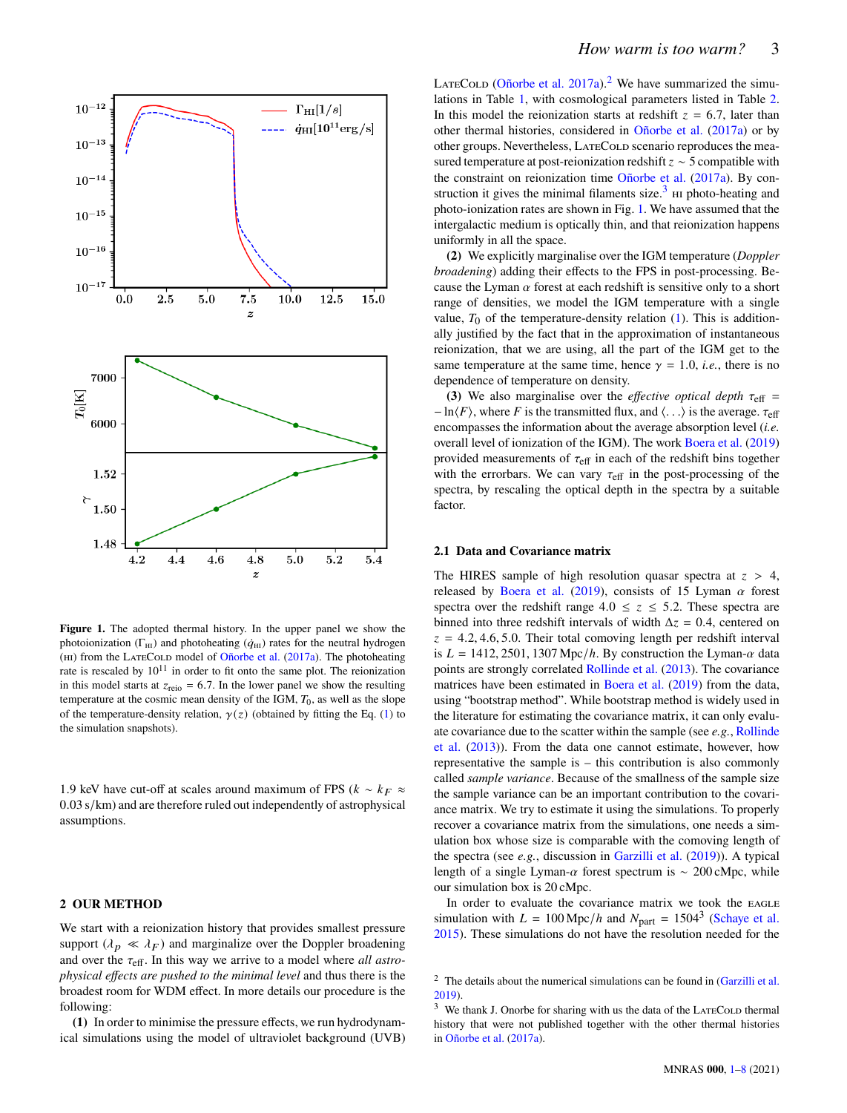

<span id="page-2-2"></span>**Figure 1.** The adopted thermal history. In the upper panel we show the photoionization ( $\Gamma_{\text{HI}}$ ) and photoheating ( $\dot{q}_{\text{HI}}$ ) rates for the neutral hydrogen (HI) from the LATECOLD model of [Oñorbe et al.](#page-7-35) [\(2017a\)](#page-7-35). The photoheating rate is rescaled by  $10^{11}$  in order to fit onto the same plot. The reionization in this model starts at  $z_{\text{reio}} = 6.7$ . In the lower panel we show the resulting temperature at the cosmic mean density of the IGM,  $T_0$ , as well as the slope of the temperature-density relation,  $\gamma(z)$  (obtained by fitting the Eq. [\(1\)](#page-0-1) to the simulation snapshots).

1.9 keV have cut-off at scales around maximum of FPS ( $k \sim k_F \approx$ 0.03 s/km) and are therefore ruled out independently of astrophysical assumptions.

## **2 OUR METHOD**

We start with a reionization history that provides smallest pressure support ( $\lambda_p \ll \lambda_F$ ) and marginalize over the Doppler broadening and over the  $\tau_{\text{eff}}$ . In this way we arrive to a model where *all astrophysical effects are pushed to the minimal level* and thus there is the broadest room for WDM effect. In more details our procedure is the following:

**(1)** In order to minimise the pressure effects, we run hydrodynamical simulations using the model of ultraviolet background (UVB) LATECOLD [\(Oñorbe et al.](#page-7-35) [2017a\)](#page-7-35).<sup>[2](#page-2-0)</sup> We have summarized the simulations in Table [1,](#page-3-0) with cosmological parameters listed in Table [2.](#page-3-1) In this model the reionization starts at redshift  $z = 6.7$ , later than other thermal histories, considered in [Oñorbe et al.](#page-7-35) [\(2017a\)](#page-7-35) or by other groups. Nevertheless, LATECOLD scenario reproduces the measured temperature at post-reionization redshift  $z \sim 5$  compatible with the constraint on reionization time [Oñorbe et al.](#page-7-35) [\(2017a\)](#page-7-35). By con-struction it gives the minimal filaments size.<sup>[3](#page-2-1)</sup>  $\mu$  photo-heating and photo-ionization rates are shown in Fig. [1.](#page-2-2) We have assumed that the intergalactic medium is optically thin, and that reionization happens uniformly in all the space.

**(2)** We explicitly marginalise over the IGM temperature (*Doppler broadening*) adding their effects to the FPS in post-processing. Because the Lyman  $\alpha$  forest at each redshift is sensitive only to a short range of densities, we model the IGM temperature with a single value,  $T_0$  of the temperature-density relation [\(1\)](#page-0-1). This is additionally justified by the fact that in the approximation of instantaneous reionization, that we are using, all the part of the IGM get to the same temperature at the same time, hence  $\gamma = 1.0$ , *i.e.*, there is no dependence of temperature on density.

**(3)** We also marginalise over the *effective optical depth*  $\tau_{\text{eff}}$  =  $-\ln\langle F \rangle$ , where F is the transmitted flux, and  $\langle \ldots \rangle$  is the average.  $\tau_{\text{eff}}$ encompasses the information about the average absorption level (*i.e.* overall level of ionization of the IGM). The work [Boera et al.](#page-7-17) [\(2019\)](#page-7-17) provided measurements of  $\tau_{\text{eff}}$  in each of the redshift bins together with the errorbars. We can vary  $\tau_{\text{eff}}$  in the post-processing of the spectra, by rescaling the optical depth in the spectra by a suitable factor.

#### **2.1 Data and Covariance matrix**

The HIRES sample of high resolution quasar spectra at  $z > 4$ , released by [Boera et al.](#page-7-17) [\(2019\)](#page-7-17), consists of 15 Lyman  $\alpha$  forest spectra over the redshift range  $4.0 \le z \le 5.2$ . These spectra are binned into three redshift intervals of width  $\Delta z = 0.4$ , centered on  $z = 4.2, 4.6, 5.0$ . Their total comoving length per redshift interval is  $L = 1412, 2501, 1307 \text{ Mpc}/h$ . By construction the Lyman- $\alpha$  data points are strongly correlated [Rollinde et al.](#page-7-44) [\(2013\)](#page-7-44). The covariance matrices have been estimated in [Boera et al.](#page-7-17) [\(2019\)](#page-7-17) from the data, using "bootstrap method". While bootstrap method is widely used in the literature for estimating the covariance matrix, it can only evaluate covariance due to the scatter within the sample (see *e.g.*, [Rollinde](#page-7-44) [et al.](#page-7-44) [\(2013\)](#page-7-44)). From the data one cannot estimate, however, how representative the sample is – this contribution is also commonly called *sample variance*. Because of the smallness of the sample size the sample variance can be an important contribution to the covariance matrix. We try to estimate it using the simulations. To properly recover a covariance matrix from the simulations, one needs a simulation box whose size is comparable with the comoving length of the spectra (see *e.g.*, discussion in [Garzilli et al.](#page-7-15) [\(2019\)](#page-7-15)). A typical length of a single Lyman- $\alpha$  forest spectrum is ~ 200 cMpc, while our simulation box is 20 cMpc.

In order to evaluate the covariance matrix we took the EAGLE simulation with  $L = 100 \text{ Mpc}/h$  and  $N_{\text{part}} = 1504^3$  [\(Schaye et al.](#page-7-45) [2015\)](#page-7-45). These simulations do not have the resolution needed for the

<span id="page-2-0"></span> $2$  The details about the numerical simulations can be found in [\(Garzilli et al.](#page-7-15) [2019\)](#page-7-15).

<span id="page-2-1"></span> $3$  We thank J. Onorbe for sharing with us the data of the LATECOLD thermal history that were not published together with the other thermal histories in [Oñorbe et al.](#page-7-35) [\(2017a\)](#page-7-35).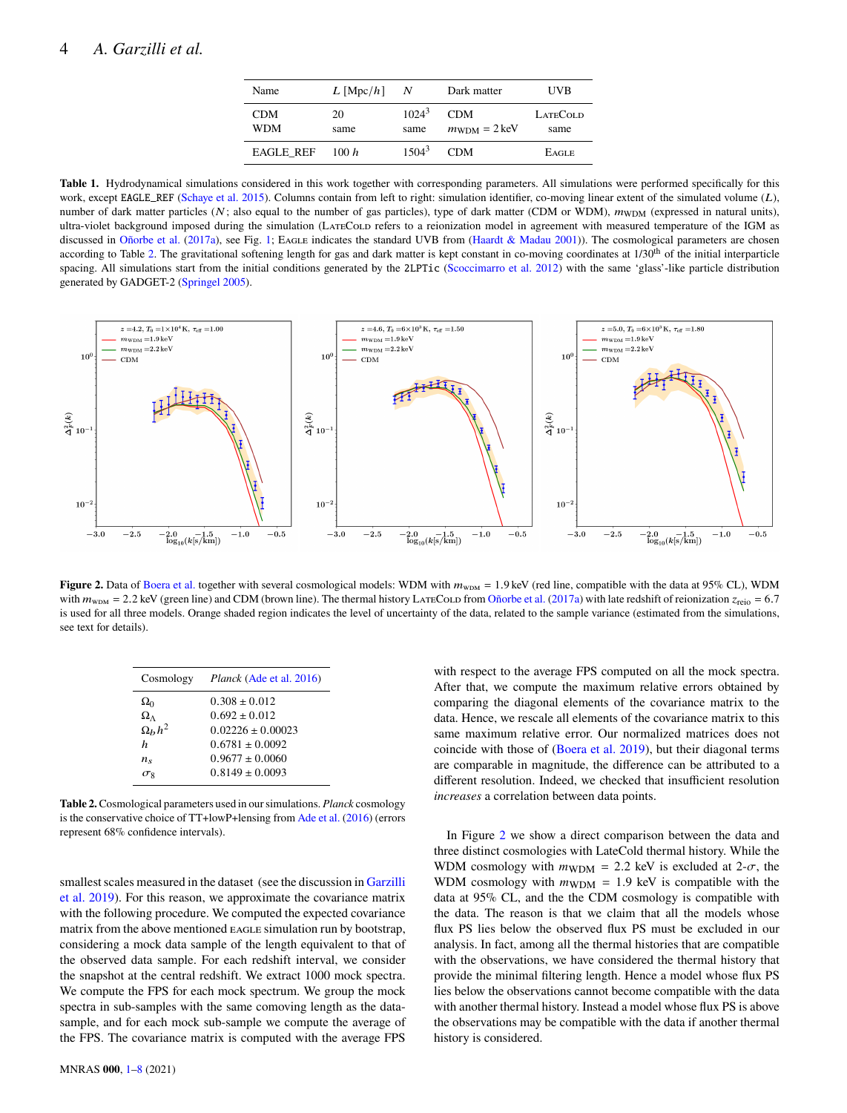<span id="page-3-0"></span>

| Name                     | $L$ [Mpc/h] | N                | Dark matter                                    | UVB                     |
|--------------------------|-------------|------------------|------------------------------------------------|-------------------------|
| <b>CDM</b><br><b>WDM</b> | 20<br>same  | $1024^3$<br>same | <b>CDM</b><br>$m_{\text{WDM}} = 2 \text{ keV}$ | <b>LATECOLD</b><br>same |
| <b>EAGLE REF</b>         | 100h        | $1504^3$         | <b>CDM</b>                                     | <b>EAGLE</b>            |

**Table 1.** Hydrodynamical simulations considered in this work together with corresponding parameters. All simulations were performed specifically for this work, except EAGLE\_REF [\(Schaye et al.](#page-7-45) [2015\)](#page-7-45). Columns contain from left to right: simulation identifier, co-moving linear extent of the simulated volume  $(L)$ , number of dark matter particles ( $N$ ; also equal to the number of gas particles), type of dark matter (CDM or WDM),  $m_{WDM}$  (expressed in natural units), ultra-violet background imposed during the simulation (LATECOLD refers to a reionization model in agreement with measured temperature of the IGM as discussed in [Oñorbe et al.](#page-7-35) [\(2017a\)](#page-7-35), see Fig. [1;](#page-2-2) EAGLE indicates the standard UVB from [\(Haardt & Madau](#page-7-29) [2001\)](#page-7-29)). The cosmological parameters are chosen according to Table [2.](#page-3-1) The gravitational softening length for gas and dark matter is kept constant in co-moving coordinates at  $1/30<sup>th</sup>$  of the initial interparticle spacing. All simulations start from the initial conditions generated by the 2LPTic [\(Scoccimarro et al.](#page-7-46) [2012\)](#page-7-46) with the same 'glass'-like particle distribution generated by GADGET-2 [\(Springel](#page-7-47) [2005\)](#page-7-47).



**Figure 2.** Data of [Boera et al.](#page-7-17) together with several cosmological models: WDM with  $m_{\text{WDM}} = 1.9 \text{ keV}$  (red line, compatible with the data at 95% CL), WDM with  $m_{\text{WDM}} = 2.2$  keV (green line) and CDM (brown line). The thermal history LATECOLD from [Oñorbe et al.](#page-7-35) [\(2017a\)](#page-7-35) with late redshift of reionization  $z_{\text{reio}} = 6.7$ is used for all three models. Orange shaded region indicates the level of uncertainty of the data, related to the sample variance (estimated from the simulations, see text for details).

| Cosmology          | <i>Planck</i> (Ade et al. 2016) |
|--------------------|---------------------------------|
| $\Omega_0$         | $0.308 \pm 0.012$               |
| $\Omega_{\Lambda}$ | $0.692 \pm 0.012$               |
| $\Omega_h h^2$     | $0.02226 \pm 0.00023$           |
| $\boldsymbol{h}$   | $0.6781 \pm 0.0092$             |
| $n_{\rm s}$        | $0.9677 \pm 0.0060$             |
| $\sigma_8$         | $0.8149 \pm 0.0093$             |

**Table 2.**Cosmological parameters used in our simulations. *Planck* cosmology is the conservative choice of TT+lowP+lensing from [Ade et al.](#page-7-48) [\(2016\)](#page-7-48) (errors represent 68% confidence intervals).

smallest scales measured in the dataset (see the discussion in [Garzilli](#page-7-15) [et al.](#page-7-15) [2019\)](#page-7-15). For this reason, we approximate the covariance matrix with the following procedure. We computed the expected covariance matrix from the above mentioned EAGLE simulation run by bootstrap, considering a mock data sample of the length equivalent to that of the observed data sample. For each redshift interval, we consider the snapshot at the central redshift. We extract 1000 mock spectra. We compute the FPS for each mock spectrum. We group the mock spectra in sub-samples with the same comoving length as the datasample, and for each mock sub-sample we compute the average of the FPS. The covariance matrix is computed with the average FPS

<span id="page-3-2"></span><span id="page-3-1"></span>with respect to the average FPS computed on all the mock spectra. After that, we compute the maximum relative errors obtained by comparing the diagonal elements of the covariance matrix to the data. Hence, we rescale all elements of the covariance matrix to this same maximum relative error. Our normalized matrices does not coincide with those of [\(Boera et al.](#page-7-17) [2019\)](#page-7-17), but their diagonal terms are comparable in magnitude, the difference can be attributed to a different resolution. Indeed, we checked that insufficient resolution *increases* a correlation between data points.

In Figure [2](#page-3-2) we show a direct comparison between the data and three distinct cosmologies with LateCold thermal history. While the WDM cosmology with  $m_{\text{WDM}} = 2.2$  keV is excluded at 2- $\sigma$ , the WDM cosmology with  $m_{\text{WDM}} = 1.9$  keV is compatible with the data at 95% CL, and the the CDM cosmology is compatible with the data. The reason is that we claim that all the models whose flux PS lies below the observed flux PS must be excluded in our analysis. In fact, among all the thermal histories that are compatible with the observations, we have considered the thermal history that provide the minimal filtering length. Hence a model whose flux PS lies below the observations cannot become compatible with the data with another thermal history. Instead a model whose flux PS is above the observations may be compatible with the data if another thermal history is considered.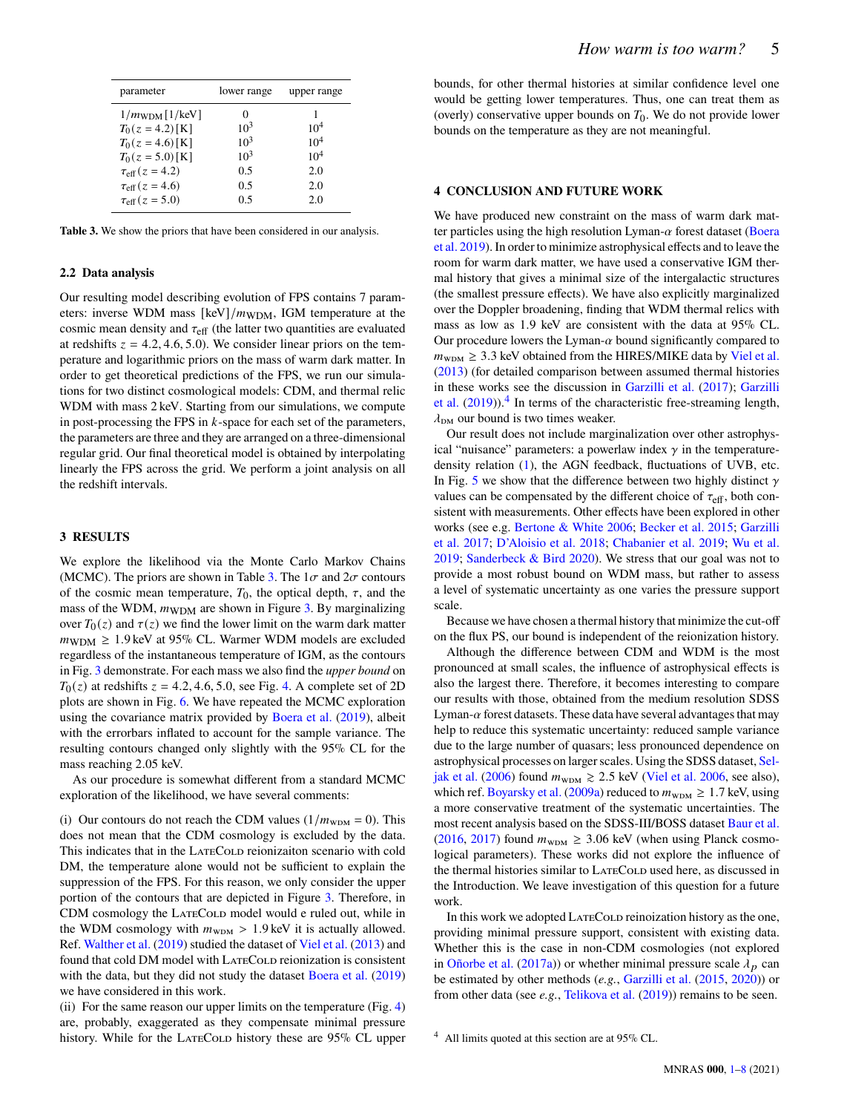| parameter                        | lower range | upper range     |
|----------------------------------|-------------|-----------------|
| $1/m_{\text{WDM}}[1/\text{keV}]$ | 0           |                 |
| $T_0(z = 4.2)$ [K]               | $10^3$      | 10 <sup>4</sup> |
| $T_0(z = 4.6)$ [K]               | $10^3$      | 10 <sup>4</sup> |
| $T_0(z = 5.0)$ [K]               | $10^3$      | 10 <sup>4</sup> |
| $\tau_{\rm eff}(z = 4.2)$        | 0.5         | 2.0             |
| $\tau_{\text{eff}}(z=4.6)$       | 0.5         | 2.0             |
| $\tau_{\text{eff}}(z=5.0)$       | 0.5         | 2.0             |

**Table 3.** We show the priors that have been considered in our analysis.

#### **2.2 Data analysis**

Our resulting model describing evolution of FPS contains 7 parameters: inverse WDM mass [keV]/ $m_{\text{WDM}}$ , IGM temperature at the cosmic mean density and  $\tau_{\text{eff}}$  (the latter two quantities are evaluated at redshifts  $z = 4.2, 4.6, 5.0$ . We consider linear priors on the temperature and logarithmic priors on the mass of warm dark matter. In order to get theoretical predictions of the FPS, we run our simulations for two distinct cosmological models: CDM, and thermal relic WDM with mass 2 keV. Starting from our simulations, we compute in post-processing the FPS in  $k$ -space for each set of the parameters, the parameters are three and they are arranged on a three-dimensional regular grid. Our final theoretical model is obtained by interpolating linearly the FPS across the grid. We perform a joint analysis on all the redshift intervals.

## **3 RESULTS**

We explore the likelihood via the Monte Carlo Markov Chains (MCMC). The priors are shown in Table [3.](#page-4-0) The  $1\sigma$  and  $2\sigma$  contours of the cosmic mean temperature,  $T_0$ , the optical depth,  $\tau$ , and the mass of the WDM,  $m_{\text{WDM}}$  are shown in Figure [3.](#page-5-0) By marginalizing over  $T_0(z)$  and  $\tau(z)$  we find the lower limit on the warm dark matter  $m_{\text{WDM}} \geq 1.9 \,\text{keV}$  at 95% CL. Warmer WDM models are excluded regardless of the instantaneous temperature of IGM, as the contours in Fig. [3](#page-5-0) demonstrate. For each mass we also find the *upper bound* on  $T_0(z)$  at redshifts  $z = 4.2, 4.6, 5.0$  $z = 4.2, 4.6, 5.0$  $z = 4.2, 4.6, 5.0$ , see Fig. 4. A complete set of 2D plots are shown in Fig. [6.](#page-6-0) We have repeated the MCMC exploration using the covariance matrix provided by [Boera et al.](#page-7-17) [\(2019\)](#page-7-17), albeit with the errorbars inflated to account for the sample variance. The resulting contours changed only slightly with the 95% CL for the mass reaching 2.05 keV.

As our procedure is somewhat different from a standard MCMC exploration of the likelihood, we have several comments:

(i) Our contours do not reach the CDM values  $(1/m_{\text{WDM}} = 0)$ . This does not mean that the CDM cosmology is excluded by the data. This indicates that in the LATECOLD reionizaiton scenario with cold DM, the temperature alone would not be sufficient to explain the suppression of the FPS. For this reason, we only consider the upper portion of the contours that are depicted in Figure [3.](#page-5-0) Therefore, in CDM cosmology the LATECOLD model would e ruled out, while in the WDM cosmology with  $m_{\text{WDM}} > 1.9 \,\text{keV}$  it is actually allowed. Ref. [Walther et al.](#page-7-28) [\(2019\)](#page-7-28) studied the dataset of [Viel et al.](#page-7-9) [\(2013\)](#page-7-9) and found that cold DM model with LATECOLD reionization is consistent with the data, but they did not study the dataset [Boera et al.](#page-7-17) [\(2019\)](#page-7-17) we have considered in this work.

(ii) For the same reason our upper limits on the temperature (Fig. [4\)](#page-5-1) are, probably, exaggerated as they compensate minimal pressure history. While for the LATECOLD history these are 95% CL upper bounds, for other thermal histories at similar confidence level one would be getting lower temperatures. Thus, one can treat them as (overly) conservative upper bounds on  $T_0$ . We do not provide lower bounds on the temperature as they are not meaningful.

## <span id="page-4-0"></span>**4 CONCLUSION AND FUTURE WORK**

We have produced new constraint on the mass of warm dark matter particles using the high resolution Lyman- $\alpha$  forest dataset [\(Boera](#page-7-17) [et al.](#page-7-17) [2019\)](#page-7-17). In order to minimize astrophysical effects and to leave the room for warm dark matter, we have used a conservative IGM thermal history that gives a minimal size of the intergalactic structures (the smallest pressure effects). We have also explicitly marginalized over the Doppler broadening, finding that WDM thermal relics with mass as low as 1.9 keV are consistent with the data at 95% CL. Our procedure lowers the Lyman- $\alpha$  bound significantly compared to  $m_{\text{WDM}} \geq 3.3$  keV obtained from the HIRES/MIKE data by [Viel et al.](#page-7-9) [\(2013\)](#page-7-9) (for detailed comparison between assumed thermal histories in these works see the discussion in [Garzilli et al.](#page-7-10) [\(2017\)](#page-7-10); [Garzilli](#page-7-15) [et al.](#page-7-15)  $(2019)$ ).<sup>[4](#page-4-1)</sup> In terms of the characteristic free-streaming length,  $\lambda_{DM}$  our bound is two times weaker.

Our result does not include marginalization over other astrophysical "nuisance" parameters: a powerlaw index  $\gamma$  in the temperaturedensity relation [\(1\)](#page-0-1), the AGN feedback, fluctuations of UVB, etc. In Fig. [5](#page-5-2) we show that the difference between two highly distinct  $\gamma$ values can be compensated by the different choice of  $\tau_{\text{eff}}$ , both consistent with measurements. Other effects have been explored in other works (see e.g. [Bertone & White](#page-7-49) [2006;](#page-7-49) [Becker et al.](#page-7-41) [2015;](#page-7-41) [Garzilli](#page-7-10) [et al.](#page-7-10) [2017;](#page-7-10) [D'Aloisio et al.](#page-7-50) [2018;](#page-7-50) [Chabanier et al.](#page-7-51) [2019;](#page-7-51) [Wu et al.](#page-7-52) [2019;](#page-7-52) [Sanderbeck & Bird](#page-7-53) [2020\)](#page-7-53). We stress that our goal was not to provide a most robust bound on WDM mass, but rather to assess a level of systematic uncertainty as one varies the pressure support scale.

Because we have chosen a thermal history that minimize the cut-off on the flux PS, our bound is independent of the reionization history.

Although the difference between CDM and WDM is the most pronounced at small scales, the influence of astrophysical effects is also the largest there. Therefore, it becomes interesting to compare our results with those, obtained from the medium resolution SDSS Lyman- $\alpha$  forest datasets. These data have several advantages that may help to reduce this systematic uncertainty: reduced sample variance due to the large number of quasars; less pronounced dependence on astrophysical processes on larger scales. Using the SDSS dataset, [Sel](#page-7-5)[jak et al.](#page-7-5) [\(2006\)](#page-7-5) found  $m_{\text{WDM}} \ge 2.5$  keV [\(Viel et al.](#page-7-4) [2006,](#page-7-4) see also), which ref. [Boyarsky et al.](#page-7-7) [\(2009a\)](#page-7-7) reduced to  $m_{\text{WDM}} \geq 1.7$  keV, using a more conservative treatment of the systematic uncertainties. The most recent analysis based on the SDSS-III/BOSS dataset [Baur et al.](#page-7-13) [\(2016,](#page-7-13) [2017\)](#page-7-14) found  $m_{\text{WDM}} \geq 3.06$  keV (when using Planck cosmological parameters). These works did not explore the influence of the thermal histories similar to LATECOLD used here, as discussed in the Introduction. We leave investigation of this question for a future work.

In this work we adopted LATECOLD reinoization history as the one, providing minimal pressure support, consistent with existing data. Whether this is the case in non-CDM cosmologies (not explored in [Oñorbe et al.](#page-7-35) [\(2017a\)](#page-7-35)) or whether minimal pressure scale  $\lambda_p$  can be estimated by other methods (*e.g.*, [Garzilli et al.](#page-7-36) [\(2015,](#page-7-36) [2020\)](#page-7-37)) or from other data (see *e.g.*, [Telikova et al.](#page-7-54) [\(2019\)](#page-7-54)) remains to be seen.

<span id="page-4-1"></span><sup>&</sup>lt;sup>4</sup> All limits quoted at this section are at 95% CL.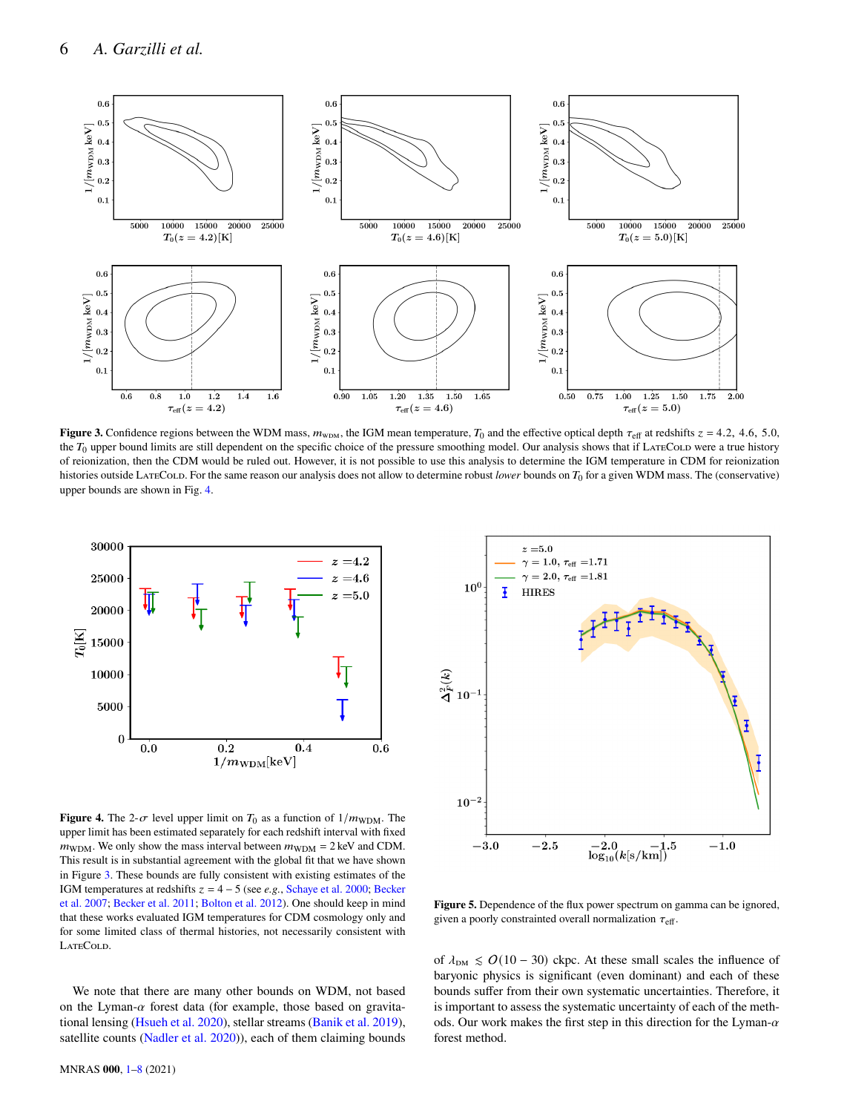

**Figure 3.** Confidence regions between the WDM mass,  $m_{\text{WDM}}$ , the IGM mean temperature,  $T_0$  and the effective optical depth  $\tau_{\text{eff}}$  at redshifts  $z = 4.2$ , 4.6, 5.0, the  $T_0$  upper bound limits are still dependent on the specific choice of the pressure smoothing model. Our analysis shows that if LATECOLD were a true history of reionization, then the CDM would be ruled out. However, it is not possible to use this analysis to determine the IGM temperature in CDM for reionization histories outside LATECOLD. For the same reason our analysis does not allow to determine robust *lower* bounds on T<sub>0</sub> for a given WDM mass. The (conservative) upper bounds are shown in Fig. [4.](#page-5-1)



<span id="page-5-1"></span>**Figure 4.** The 2- $\sigma$  level upper limit on  $T_0$  as a function of  $1/m_{WDM}$ . The upper limit has been estimated separately for each redshift interval with fixed  $m_{\text{WDM}}$ . We only show the mass interval between  $m_{\text{WDM}} = 2 \text{ keV}$  and CDM. This result is in substantial agreement with the global fit that we have shown in Figure [3.](#page-5-0) These bounds are fully consistent with existing estimates of the IGM temperatures at redshifts  $z = 4 - 5$  (see *e.g.*, [Schaye et al.](#page-7-55) [2000;](#page-7-55) [Becker](#page-7-56) [et al.](#page-7-56) [2007;](#page-7-56) [Becker et al.](#page-7-24) [2011;](#page-7-24) [Bolton et al.](#page-7-25) [2012\)](#page-7-25). One should keep in mind that these works evaluated IGM temperatures for CDM cosmology only and for some limited class of thermal histories, not necessarily consistent with LATECOLD.

We note that there are many other bounds on WDM, not based on the Lyman- $\alpha$  forest data (for example, those based on gravitational lensing [\(Hsueh et al.](#page-7-57) [2020\)](#page-7-57), stellar streams [\(Banik et al.](#page-7-58) [2019\)](#page-7-58), satellite counts [\(Nadler et al.](#page-7-59) [2020\)](#page-7-59)), each of them claiming bounds

<span id="page-5-0"></span>

<span id="page-5-2"></span>**Figure 5.** Dependence of the flux power spectrum on gamma can be ignored, given a poorly constrainted overall normalization  $\tau_{\text{eff}}$ .

of  $\lambda_{DM}$  ≤  $O(10-30)$  ckpc. At these small scales the influence of baryonic physics is significant (even dominant) and each of these bounds suffer from their own systematic uncertainties. Therefore, it is important to assess the systematic uncertainty of each of the methods. Our work makes the first step in this direction for the Lyman- $\alpha$ forest method.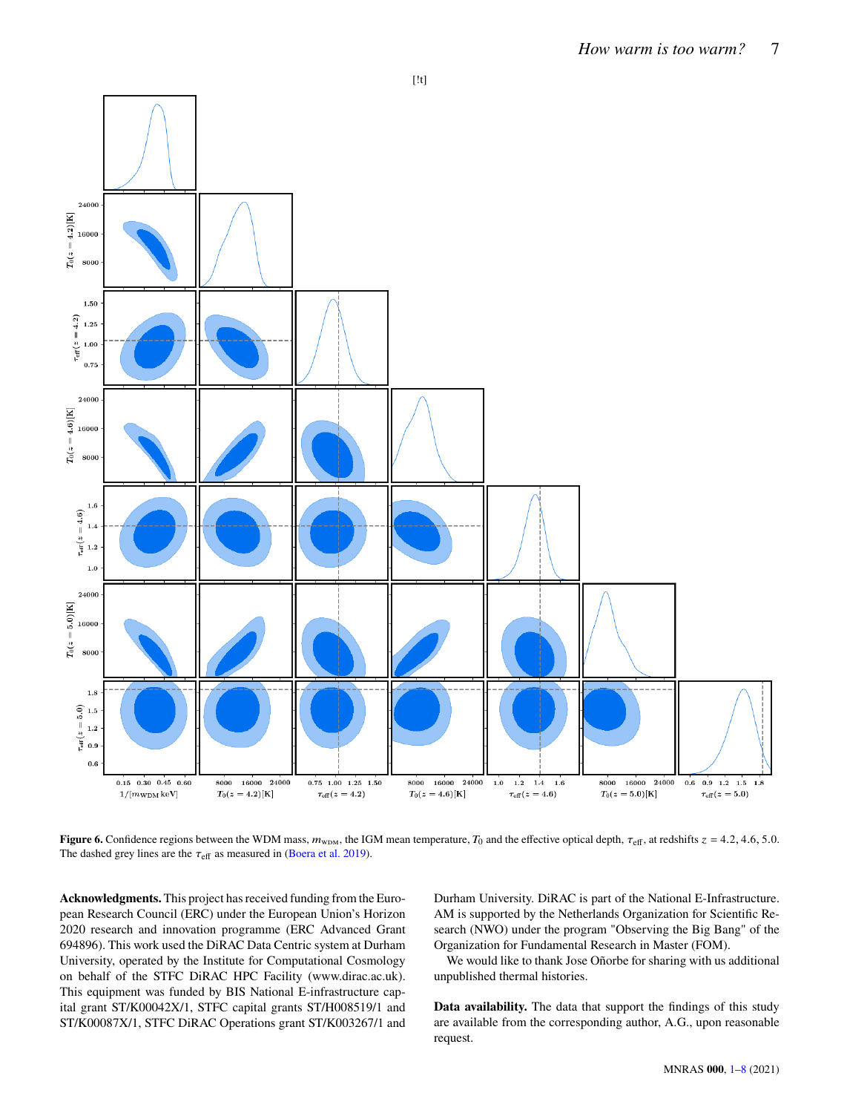

**Figure 6.** Confidence regions between the WDM mass,  $m_{\text{WDM}}$ , the IGM mean temperature,  $T_0$  and the effective optical depth,  $\tau_{\text{eff}}$ , at redshifts  $z = 4.2, 4.6, 5.0$ . The dashed grey lines are the  $\tau_{\text{eff}}$  as measured in [\(Boera et al.](#page-7-17) [2019\)](#page-7-17).

**Acknowledgments.** This project has received funding from the European Research Council (ERC) under the European Union's Horizon 2020 research and innovation programme (ERC Advanced Grant 694896). This work used the DiRAC Data Centric system at Durham University, operated by the Institute for Computational Cosmology on behalf of the STFC DiRAC HPC Facility (www.dirac.ac.uk). This equipment was funded by BIS National E-infrastructure capital grant ST/K00042X/1, STFC capital grants ST/H008519/1 and ST/K00087X/1, STFC DiRAC Operations grant ST/K003267/1 and <span id="page-6-0"></span>Durham University. DiRAC is part of the National E-Infrastructure. AM is supported by the Netherlands Organization for Scientific Research (NWO) under the program "Observing the Big Bang" of the Organization for Fundamental Research in Master (FOM).

We would like to thank Jose Oñorbe for sharing with us additional unpublished thermal histories.

**Data availability.** The data that support the findings of this study are available from the corresponding author, A.G., upon reasonable request.